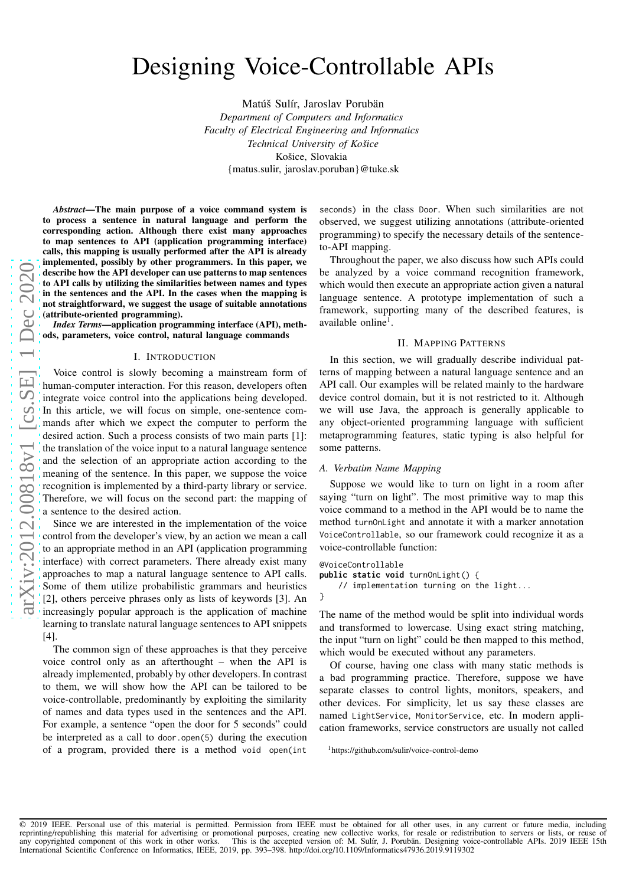# Designing Voice-Controllable APIs

Matúš Sulír, Jaroslav Porubän

*Department of Computers and Informatics Faculty of Electrical Engineering and Informatics Technical University of Košice* Košice, Slovakia {matus.sulir, jaroslav.poruban}@tuke.sk

*Abstract*—The main purpose of a voice command system is to process a sentence in natural language and perform the corresponding action. Although there exist many approache s to map sentences to API (application programming interface ) calls, this mapping is usually performed after the API is already implemented, possibly by other programmers. In this paper, we describe how the API developer can use patterns to map sentences to API calls by utilizing the similarities between names and types in the sentences and the API. In the cases when the mapping is not straightforward, we suggest the usage of suitable annotations (attribute-oriented programming).

*Index Terms*—application programming interface (API), methods, parameters, voice control, natural language commands

#### I. INTRODUCTION

Voice control is slowly becoming a mainstream form of human-computer interaction. For this reason, developers often integrate voice control into the applications being developed. In this article, we will focus on simple, one-sentence commands after which we expect the computer to perform the desired action. Such a process consists of two main parts [\[1\]](#page-4-0) : the translation of the voice input to a natural language sentence and the selection of an appropriate action according to the meaning of the sentence. In this paper, we suppose the voice recognition is implemented by a third-party library or service. Therefore, we will focus on the second part: the mapping of a sentence to the desired action.

Since we are interested in the implementation of the voice control from the developer's view, by an action we mean a call to an appropriate method in an API (application programming interface) with correct parameters. There already exist many approaches to map a natural language sentence to API calls. Some of them utilize probabilistic grammars and heuristics [\[2\]](#page-4-1), others perceive phrases only as lists of keywords [\[3\]](#page-4-2). A n increasingly popular approach is the application of machin e learning to translate natural language sentences to API snippets [\[4\]](#page-4-3).

The common sign of these approaches is that they perceive voice control only as an afterthought – when the API is already implemented, probably by other developers. In contrast to them, we will show how the API can be tailored to be voice-controllable, predominantly by exploiting the similarity of names and data types used in the sentences and the API. For example, a sentence "open the door for 5 seconds" could be interpreted as a call to door.open(5) during the execution of a program, provided there is a method void open(int

seconds) in the class Door. When such similarities are not observed, we suggest utilizing annotations (attribute-oriented programming) to specify the necessary details of the sentenceto-API mapping.

Throughout the paper, we also discuss how such APIs could be analyzed by a voice command recognition framework, which would then execute an appropriate action given a natural language sentence. A prototype implementation of such a framework, supporting many of the described features, is available online<sup>[1](#page-0-0)</sup>.

### II. MAPPING PATTERNS

In this section, we will gradually describe individual patterns of mapping between a natural language sentence and an API call. Our examples will be related mainly to the hardware device control domain, but it is not restricted to it. Although we will use Java, the approach is generally applicable to any object-oriented programming language with sufficient metaprogramming features, static typing is also helpful fo r some patterns.

#### *A. Verbatim Name Mapping*

Suppose we would like to turn on light in a room after saying "turn on light". The most primitive way to map this voice command to a method in the API would be to name the method turnOnLight and annotate it with a marker annotation VoiceControllable, so our framework could recognize it as a voice-controllable function:

```
@VoiceControllable
public static void turnOnLight() {
    // implementation turning on the light...
}
```
The name of the method would be split into individual words and transformed to lowercase. Using exact string matching, the input "turn on light" could be then mapped to this method, which would be executed without any parameters.

Of course, having one class with many static methods is a bad programming practice. Therefore, suppose we have separate classes to control lights, monitors, speakers, an d other devices. For simplicity, let us say these classes are named LightService , MonitorService, etc. In modern application frameworks, service constructors are usually not called

<span id="page-0-0"></span><sup>1</sup><https://github.com/sulir/voice-control-demo>

© 2019 IEEE. Personal use of this material is permitted. Permission from IEEE must be obtained for all other uses, in any current or future media, including reprinting/republishing this material for advertising or promotional purposes, creating new collective works, for resale or redistribution to servers or lists, or reuse of<br>any copyrighted component of this work in other wo International Scientific Conference on Informatics, IEEE, 2019, pp. 393–398.<http://doi.org/10.1109/Informatics47936.2019.9119302>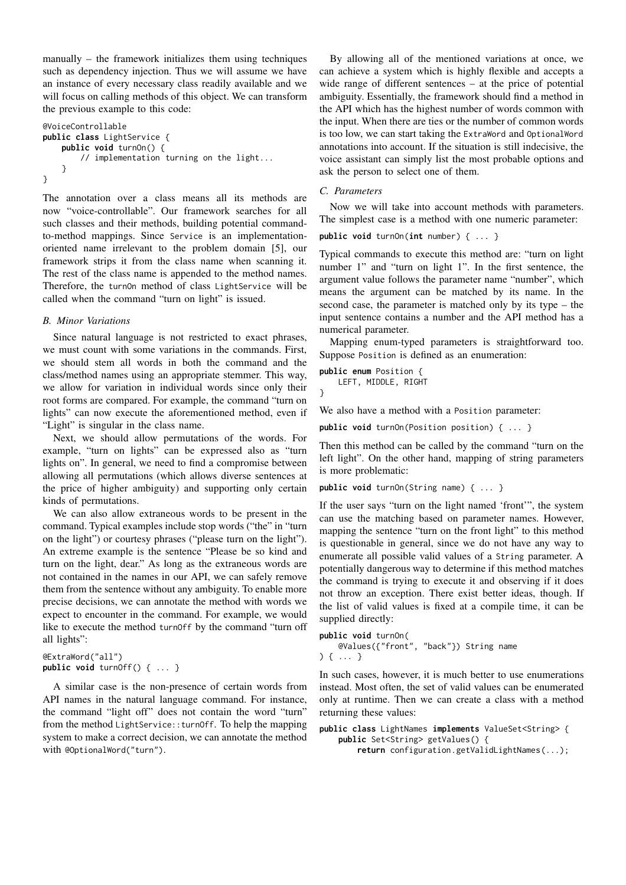manually – the framework initializes them using techniques such as dependency injection. Thus we will assume we have an instance of every necessary class readily available and we will focus on calling methods of this object. We can transform the previous example to this code:

```
@VoiceControllable
public class LightService {
    public void turnOn() {
        // implementation turning on the light...
    }
}
```
The annotation over a class means all its methods are now "voice-controllable". Our framework searches for all such classes and their methods, building potential commandto-method mappings. Since Service is an implementationoriented name irrelevant to the problem domain [\[5\]](#page-4-4), our framework strips it from the class name when scanning it. The rest of the class name is appended to the method names. Therefore, the turnOn method of class LightService will be called when the command "turn on light" is issued.

## *B. Minor Variations*

Since natural language is not restricted to exact phrases, we must count with some variations in the commands. First, we should stem all words in both the command and the class/method names using an appropriate stemmer. This way, we allow for variation in individual words since only their root forms are compared. For example, the command "turn on lights" can now execute the aforementioned method, even if "Light" is singular in the class name.

Next, we should allow permutations of the words. For example, "turn on lights" can be expressed also as "turn lights on". In general, we need to find a compromise between allowing all permutations (which allows diverse sentences at the price of higher ambiguity) and supporting only certain kinds of permutations.

We can also allow extraneous words to be present in the command. Typical examples include stop words ("the" in "turn on the light") or courtesy phrases ("please turn on the light"). An extreme example is the sentence "Please be so kind and turn on the light, dear." As long as the extraneous words are not contained in the names in our API, we can safely remove them from the sentence without any ambiguity. To enable more precise decisions, we can annotate the method with words we expect to encounter in the command. For example, we would like to execute the method turnOff by the command "turn off all lights":

```
@ExtraWord("all")
public void turnOff() { ... }
```
A similar case is the non-presence of certain words from API names in the natural language command. For instance, the command "light off" does not contain the word "turn" from the method LightService::turnOff. To help the mapping system to make a correct decision, we can annotate the method with @OptionalWord("turn").

By allowing all of the mentioned variations at once, we can achieve a system which is highly flexible and accepts a wide range of different sentences – at the price of potential ambiguity. Essentially, the framework should find a method in the API which has the highest number of words common with the input. When there are ties or the number of common words is too low, we can start taking the ExtraWord and OptionalWord annotations into account. If the situation is still indecisive, the voice assistant can simply list the most probable options and ask the person to select one of them.

## *C. Parameters*

Now we will take into account methods with parameters. The simplest case is a method with one numeric parameter:

# **public void** turnOn(**int** number) { ... }

Typical commands to execute this method are: "turn on light number 1" and "turn on light 1". In the first sentence, the argument value follows the parameter name "number", which means the argument can be matched by its name. In the second case, the parameter is matched only by its type – the input sentence contains a number and the API method has a numerical parameter.

Mapping enum-typed parameters is straightforward too. Suppose Position is defined as an enumeration:

```
public enum Position {
   LEFT, MIDDLE, RIGHT
```
}

We also have a method with a Position parameter:

**public void** turnOn(Position position) { ... }

Then this method can be called by the command "turn on the left light". On the other hand, mapping of string parameters is more problematic:

```
public void turnOn(String name) { ... }
```
If the user says "turn on the light named 'front'", the system can use the matching based on parameter names. However, mapping the sentence "turn on the front light" to this method is questionable in general, since we do not have any way to enumerate all possible valid values of a String parameter. A potentially dangerous way to determine if this method matches the command is trying to execute it and observing if it does not throw an exception. There exist better ideas, though. If the list of valid values is fixed at a compile time, it can be supplied directly:

```
public void turnOn(
   @Values({"front", "back"}) String name
) { ... }
```
In such cases, however, it is much better to use enumerations instead. Most often, the set of valid values can be enumerated only at runtime. Then we can create a class with a method returning these values:

```
public class LightNames implements ValueSet<String> {
    public Set<String> getValues() {
       return configuration.getValidLightNames(...);
```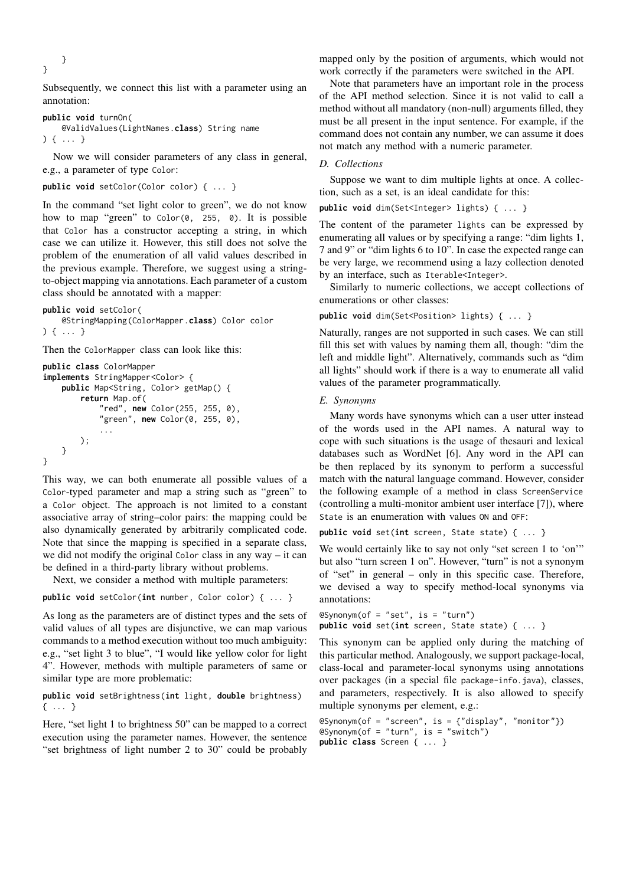}

}

Subsequently, we connect this list with a parameter using an annotation:

```
public void turnOn(
    @ValidValues(LightNames.class) String name
) { ... }
```
Now we will consider parameters of any class in general, e.g., a parameter of type Color:

```
public void setColor(Color color) { ... }
```
In the command "set light color to green", we do not know how to map "green" to Color(0, 255, 0). It is possible that Color has a constructor accepting a string, in which case we can utilize it. However, this still does not solve the problem of the enumeration of all valid values described in the previous example. Therefore, we suggest using a stringto-object mapping via annotations. Each parameter of a custom class should be annotated with a mapper:

**public void** setColor( @StringMapping(ColorMapper.**class**) Color color ) { ... }

Then the ColorMapper class can look like this:

```
public class ColorMapper
implements StringMapper<Color> {
    public Map<String, Color> getMap() {
        return Map.of(
            "red", new Color(255, 255, 0),
            "green", new Color(0, 255, 0),
            ...
        );
    }
}
```
This way, we can both enumerate all possible values of a Color-typed parameter and map a string such as "green" to a Color object. The approach is not limited to a constant associative array of string–color pairs: the mapping could be also dynamically generated by arbitrarily complicated code. Note that since the mapping is specified in a separate class, we did not modify the original Color class in any way – it can be defined in a third-party library without problems.

Next, we consider a method with multiple parameters:

**public void** setColor(**int** number, Color color) { ... }

As long as the parameters are of distinct types and the sets of valid values of all types are disjunctive, we can map various commands to a method execution without too much ambiguity: e.g., "set light 3 to blue", "I would like yellow color for light 4". However, methods with multiple parameters of same or similar type are more problematic:

**public void** setBrightness(**int** light, **double** brightness) { ... }

Here, "set light 1 to brightness 50" can be mapped to a correct execution using the parameter names. However, the sentence "set brightness of light number 2 to 30" could be probably

mapped only by the position of arguments, which would not work correctly if the parameters were switched in the API.

Note that parameters have an important role in the process of the API method selection. Since it is not valid to call a method without all mandatory (non-null) arguments filled, they must be all present in the input sentence. For example, if the command does not contain any number, we can assume it does not match any method with a numeric parameter.

## *D. Collections*

Suppose we want to dim multiple lights at once. A collection, such as a set, is an ideal candidate for this:

**public void** dim(Set<Integer> lights) { ... }

The content of the parameter lights can be expressed by enumerating all values or by specifying a range: "dim lights 1, 7 and 9" or "dim lights 6 to 10". In case the expected range can be very large, we recommend using a lazy collection denoted by an interface, such as Iterable<Integer>.

Similarly to numeric collections, we accept collections of enumerations or other classes:

**public void** dim(Set<Position> lights) { ... }

Naturally, ranges are not supported in such cases. We can still fill this set with values by naming them all, though: "dim the left and middle light". Alternatively, commands such as "dim all lights" should work if there is a way to enumerate all valid values of the parameter programmatically.

#### *E. Synonyms*

Many words have synonyms which can a user utter instead of the words used in the API names. A natural way to cope with such situations is the usage of thesauri and lexical databases such as WordNet [\[6\]](#page-4-5). Any word in the API can be then replaced by its synonym to perform a successful match with the natural language command. However, consider the following example of a method in class ScreenService (controlling a multi-monitor ambient user interface [\[7\]](#page-4-6)), where State is an enumeration with values ON and OFF:

**public void** set(**int** screen, State state) { ... }

We would certainly like to say not only "set screen 1 to 'on'" but also "turn screen 1 on". However, "turn" is not a synonym of "set" in general – only in this specific case. Therefore, we devised a way to specify method-local synonyms via annotations:

```
@Synonym(of = "set", is = "turn")
public void set(int screen, State state) { ... }
```
This synonym can be applied only during the matching of this particular method. Analogously, we support package-local, class-local and parameter-local synonyms using annotations over packages (in a special file package-info.java), classes, and parameters, respectively. It is also allowed to specify multiple synonyms per element, e.g.:

```
\mathsf{QSymonym}(\mathsf{of} = "screen", \mathsf{is} = {'display", "monitor"}@Synonym(of = "turn", is = "switch")
public class Screen { ... }
```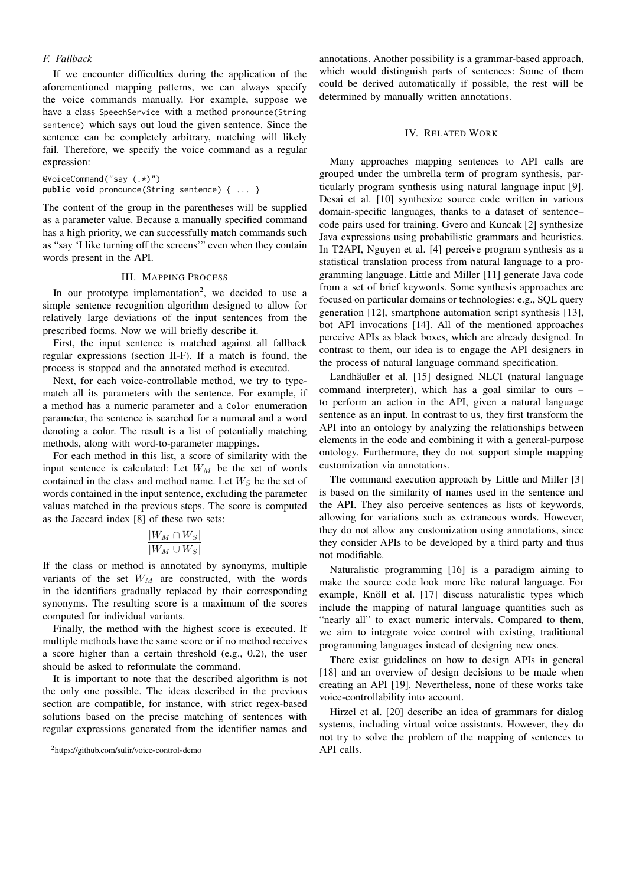## <span id="page-3-1"></span>*F. Fallback*

If we encounter difficulties during the application of the aforementioned mapping patterns, we can always specify the voice commands manually. For example, suppose we have a class SpeechService with a method pronounce(String sentence) which says out loud the given sentence. Since the sentence can be completely arbitrary, matching will likely fail. Therefore, we specify the voice command as a regular expression:

```
@VoiceCommand("say (.*)")
public void pronounce(String sentence) { ... }
```
The content of the group in the parentheses will be supplied as a parameter value. Because a manually specified command has a high priority, we can successfully match commands such as "say 'I like turning off the screens'" even when they contain words present in the API.

## III. MAPPING PROCESS

In our prototype implementation<sup>[2](#page-3-0)</sup>, we decided to use a simple sentence recognition algorithm designed to allow for relatively large deviations of the input sentences from the prescribed forms. Now we will briefly describe it.

First, the input sentence is matched against all fallback regular expressions (section [II-F\)](#page-3-1). If a match is found, the process is stopped and the annotated method is executed.

Next, for each voice-controllable method, we try to typematch all its parameters with the sentence. For example, if a method has a numeric parameter and a Color enumeration parameter, the sentence is searched for a numeral and a word denoting a color. The result is a list of potentially matching methods, along with word-to-parameter mappings.

For each method in this list, a score of similarity with the input sentence is calculated: Let  $W_M$  be the set of words contained in the class and method name. Let  $W<sub>S</sub>$  be the set of words contained in the input sentence, excluding the parameter values matched in the previous steps. The score is computed as the Jaccard index [\[8\]](#page-4-7) of these two sets:

$$
\frac{|W_M \cap W_S|}{|W_M \cup W_S|}
$$

If the class or method is annotated by synonyms, multiple variants of the set  $W_M$  are constructed, with the words in the identifiers gradually replaced by their corresponding synonyms. The resulting score is a maximum of the scores computed for individual variants.

Finally, the method with the highest score is executed. If multiple methods have the same score or if no method receives a score higher than a certain threshold (e.g., 0.2), the user should be asked to reformulate the command.

It is important to note that the described algorithm is not the only one possible. The ideas described in the previous section are compatible, for instance, with strict regex-based solutions based on the precise matching of sentences with regular expressions generated from the identifier names and annotations. Another possibility is a grammar-based approach, which would distinguish parts of sentences: Some of them could be derived automatically if possible, the rest will be determined by manually written annotations.

## IV. RELATED WORK

Many approaches mapping sentences to API calls are grouped under the umbrella term of program synthesis, particularly program synthesis using natural language input [\[9\]](#page-4-8). Desai et al. [\[10\]](#page-4-9) synthesize source code written in various domain-specific languages, thanks to a dataset of sentence– code pairs used for training. Gvero and Kuncak [\[2\]](#page-4-1) synthesize Java expressions using probabilistic grammars and heuristics. In T2API, Nguyen et al. [\[4\]](#page-4-3) perceive program synthesis as a statistical translation process from natural language to a programming language. Little and Miller [\[11\]](#page-4-10) generate Java code from a set of brief keywords. Some synthesis approaches are focused on particular domains or technologies: e.g., SQL query generation [\[12\]](#page-4-11), smartphone automation script synthesis [\[13\]](#page-4-12), bot API invocations [\[14\]](#page-4-13). All of the mentioned approaches perceive APIs as black boxes, which are already designed. In contrast to them, our idea is to engage the API designers in the process of natural language command specification.

Landhäußer et al. [\[15\]](#page-4-14) designed NLCI (natural language command interpreter), which has a goal similar to ours – to perform an action in the API, given a natural language sentence as an input. In contrast to us, they first transform the API into an ontology by analyzing the relationships between elements in the code and combining it with a general-purpose ontology. Furthermore, they do not support simple mapping customization via annotations.

The command execution approach by Little and Miller [\[3\]](#page-4-2) is based on the similarity of names used in the sentence and the API. They also perceive sentences as lists of keywords, allowing for variations such as extraneous words. However, they do not allow any customization using annotations, since they consider APIs to be developed by a third party and thus not modifiable.

Naturalistic programming [\[16\]](#page-4-15) is a paradigm aiming to make the source code look more like natural language. For example, Knöll et al. [\[17\]](#page-4-16) discuss naturalistic types which include the mapping of natural language quantities such as "nearly all" to exact numeric intervals. Compared to them, we aim to integrate voice control with existing, traditional programming languages instead of designing new ones.

There exist guidelines on how to design APIs in general [\[18\]](#page-4-17) and an overview of design decisions to be made when creating an API [\[19\]](#page-5-0). Nevertheless, none of these works take voice-controllability into account.

Hirzel et al. [\[20\]](#page-5-1) describe an idea of grammars for dialog systems, including virtual voice assistants. However, they do not try to solve the problem of the mapping of sentences to API calls.

<span id="page-3-0"></span><sup>2</sup><https://github.com/sulir/voice-control-demo>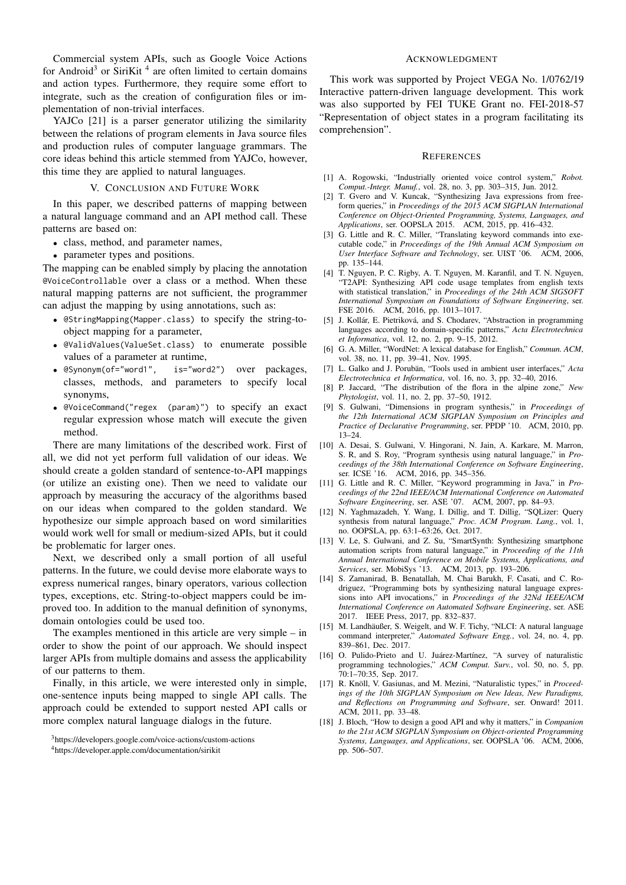Commercial system APIs, such as Google Voice Actions for Android<sup>[3](#page-4-18)</sup> or SiriKit<sup>[4](#page-4-19)</sup> are often limited to certain domains and action types. Furthermore, they require some effort to integrate, such as the creation of configuration files or implementation of non-trivial interfaces.

YAJCo [\[21\]](#page-5-2) is a parser generator utilizing the similarity between the relations of program elements in Java source files and production rules of computer language grammars. The core ideas behind this article stemmed from YAJCo, however, this time they are applied to natural languages.

#### V. CONCLUSION AND FUTURE WORK

In this paper, we described patterns of mapping between a natural language command and an API method call. These patterns are based on:

- class, method, and parameter names,
- parameter types and positions.

The mapping can be enabled simply by placing the annotation @VoiceControllable over a class or a method. When these natural mapping patterns are not sufficient, the programmer can adjust the mapping by using annotations, such as:

- @StringMapping(Mapper.class) to specify the string-toobject mapping for a parameter,
- @ValidValues(ValueSet.class) to enumerate possible values of a parameter at runtime,
- @Synonym(of="word1", is="word2") over packages, classes, methods, and parameters to specify local synonyms,
- @VoiceCommand("regex (param)") to specify an exact regular expression whose match will execute the given method.

There are many limitations of the described work. First of all, we did not yet perform full validation of our ideas. We should create a golden standard of sentence-to-API mappings (or utilize an existing one). Then we need to validate our approach by measuring the accuracy of the algorithms based on our ideas when compared to the golden standard. We hypothesize our simple approach based on word similarities would work well for small or medium-sized APIs, but it could be problematic for larger ones.

Next, we described only a small portion of all useful patterns. In the future, we could devise more elaborate ways to express numerical ranges, binary operators, various collection types, exceptions, etc. String-to-object mappers could be improved too. In addition to the manual definition of synonyms, domain ontologies could be used too.

The examples mentioned in this article are very simple – in order to show the point of our approach. We should inspect larger APIs from multiple domains and assess the applicability of our patterns to them.

Finally, in this article, we were interested only in simple, one-sentence inputs being mapped to single API calls. The approach could be extended to support nested API calls or more complex natural language dialogs in the future.

#### ACKNOWLEDGMENT

This work was supported by Project VEGA No. 1/0762/19 Interactive pattern-driven language development. This work was also supported by FEI TUKE Grant no. FEI-2018-57 "Representation of object states in a program facilitating its comprehension".

#### **REFERENCES**

- <span id="page-4-0"></span>[1] A. Rogowski, "Industrially oriented voice control system," *Robot. Comput.-Integr. Manuf.*, vol. 28, no. 3, pp. 303–315, Jun. 2012.
- <span id="page-4-1"></span>[2] T. Gvero and V. Kuncak, "Synthesizing Java expressions from freeform queries," in *Proceedings of the 2015 ACM SIGPLAN International Conference on Object-Oriented Programming, Systems, Languages, and Applications*, ser. OOPSLA 2015. ACM, 2015, pp. 416–432.
- <span id="page-4-2"></span>[3] G. Little and R. C. Miller, "Translating keyword commands into executable code," in *Proceedings of the 19th Annual ACM Symposium on User Interface Software and Technology*, ser. UIST '06. ACM, 2006, pp. 135–144.
- <span id="page-4-3"></span>[4] T. Nguyen, P. C. Rigby, A. T. Nguyen, M. Karanfil, and T. N. Nguyen, "T2API: Synthesizing API code usage templates from english texts with statistical translation," in *Proceedings of the 24th ACM SIGSOFT International Symposium on Foundations of Software Engineering*, ser. FSE 2016. ACM, 2016, pp. 1013–1017.
- <span id="page-4-4"></span>[5] J. Kollár, E. Pietriková, and S. Chodarev, "Abstraction in programming languages according to domain-specific patterns," *Acta Electrotechnica et Informatica*, vol. 12, no. 2, pp. 9–15, 2012.
- <span id="page-4-5"></span>[6] G. A. Miller, "WordNet: A lexical database for English," *Commun. ACM*, vol. 38, no. 11, pp. 39–41, Nov. 1995.
- <span id="page-4-6"></span>[7] L. Galko and J. Porubän, "Tools used in ambient user interfaces," *Acta Electrotechnica et Informatica*, vol. 16, no. 3, pp. 32–40, 2016.
- <span id="page-4-7"></span>[8] P. Jaccard, "The distribution of the flora in the alpine zone," *New Phytologist*, vol. 11, no. 2, pp. 37–50, 1912.
- <span id="page-4-8"></span>[9] S. Gulwani, "Dimensions in program synthesis," in *Proceedings of the 12th International ACM SIGPLAN Symposium on Principles and Practice of Declarative Programming*, ser. PPDP '10. ACM, 2010, pp. 13–24.
- <span id="page-4-9"></span>[10] A. Desai, S. Gulwani, V. Hingorani, N. Jain, A. Karkare, M. Marron, S. R, and S. Roy, "Program synthesis using natural language," in *Proceedings of the 38th International Conference on Software Engineering*, ser. ICSE '16. ACM, 2016, pp. 345–356.
- <span id="page-4-10"></span>[11] G. Little and R. C. Miller, "Keyword programming in Java," in *Proceedings of the 22nd IEEE/ACM International Conference on Automated Software Engineering*, ser. ASE '07. ACM, 2007, pp. 84–93.
- <span id="page-4-11"></span>[12] N. Yaghmazadeh, Y. Wang, I. Dillig, and T. Dillig, "SQLizer: Query synthesis from natural language," *Proc. ACM Program. Lang.*, vol. 1, no. OOPSLA, pp. 63:1–63:26, Oct. 2017.
- <span id="page-4-12"></span>[13] V. Le, S. Gulwani, and Z. Su, "SmartSynth: Synthesizing smartphone automation scripts from natural language," in *Proceeding of the 11th Annual International Conference on Mobile Systems, Applications, and Services*, ser. MobiSys '13. ACM, 2013, pp. 193–206.
- <span id="page-4-13"></span>[14] S. Zamanirad, B. Benatallah, M. Chai Barukh, F. Casati, and C. Rodriguez, "Programming bots by synthesizing natural language expressions into API invocations," in *Proceedings of the 32Nd IEEE/ACM International Conference on Automated Software Engineering*, ser. ASE 2017. IEEE Press, 2017, pp. 832–837.
- <span id="page-4-14"></span>[15] M. Landhäußer, S. Weigelt, and W. F. Tichy, "NLCI: A natural language command interpreter," *Automated Software Engg.*, vol. 24, no. 4, pp. 839–861, Dec. 2017.
- <span id="page-4-15"></span>[16] O. Pulido-Prieto and U. Juárez-Martínez, "A survey of naturalistic programming technologies," *ACM Comput. Surv.*, vol. 50, no. 5, pp. 70:1–70:35, Sep. 2017.
- <span id="page-4-16"></span>[17] R. Knöll, V. Gasiunas, and M. Mezini, "Naturalistic types," in *Proceedings of the 10th SIGPLAN Symposium on New Ideas, New Paradigms, and Reflections on Programming and Software*, ser. Onward! 2011. ACM, 2011, pp. 33–48.
- <span id="page-4-17"></span>[18] J. Bloch, "How to design a good API and why it matters," in *Companion to the 21st ACM SIGPLAN Symposium on Object-oriented Programming Systems, Languages, and Applications*, ser. OOPSLA '06. ACM, 2006, pp. 506–507.

<sup>3</sup>https://developers.google.com/voice-actions/custom-actions

<span id="page-4-19"></span><span id="page-4-18"></span><sup>4</sup>https://developer.apple.com/documentation/sirikit